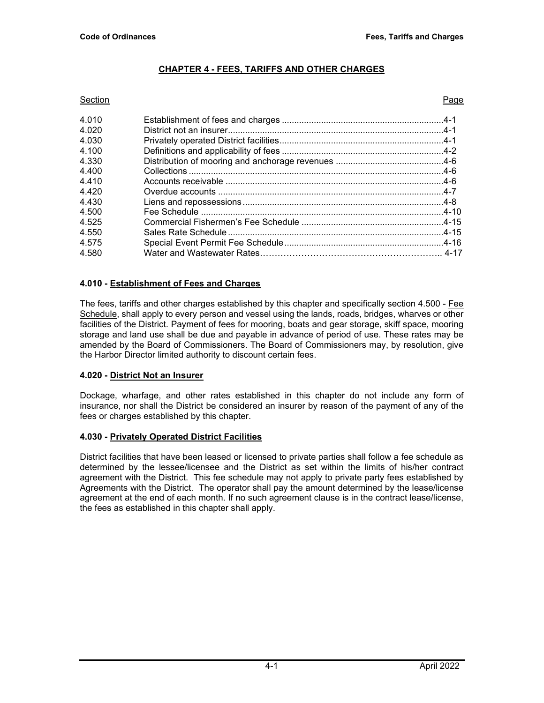# **CHAPTER 4 - FEES, TARIFFS AND OTHER CHARGES**

#### Section Page

| 4.010 |  |
|-------|--|
| 4.020 |  |
| 4.030 |  |
| 4.100 |  |
| 4.330 |  |
| 4.400 |  |
| 4.410 |  |
| 4.420 |  |
| 4.430 |  |
| 4.500 |  |
| 4.525 |  |
| 4.550 |  |
| 4.575 |  |
| 4.580 |  |
|       |  |

## **4.010 - Establishment of Fees and Charges**

The fees, tariffs and other charges established by this chapter and specifically section 4.500 - Fee Schedule, shall apply to every person and vessel using the lands, roads, bridges, wharves or other facilities of the District. Payment of fees for mooring, boats and gear storage, skiff space, mooring storage and land use shall be due and payable in advance of period of use. These rates may be amended by the Board of Commissioners. The Board of Commissioners may, by resolution, give the Harbor Director limited authority to discount certain fees.

#### **4.020 - District Not an Insurer**

Dockage, wharfage, and other rates established in this chapter do not include any form of insurance, nor shall the District be considered an insurer by reason of the payment of any of the fees or charges established by this chapter.

#### **4.030 - Privately Operated District Facilities**

District facilities that have been leased or licensed to private parties shall follow a fee schedule as determined by the lessee/licensee and the District as set within the limits of his/her contract agreement with the District. This fee schedule may not apply to private party fees established by Agreements with the District. The operator shall pay the amount determined by the lease/license agreement at the end of each month. If no such agreement clause is in the contract lease/license, the fees as established in this chapter shall apply.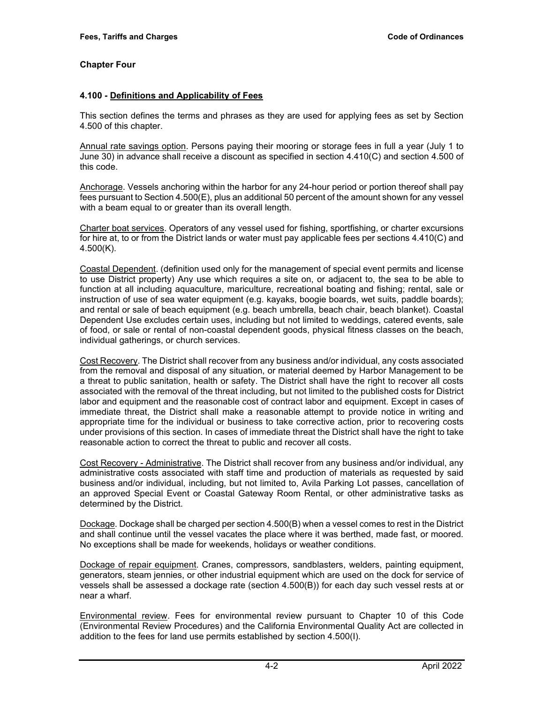### **4.100 - Definitions and Applicability of Fees**

This section defines the terms and phrases as they are used for applying fees as set by Section 4.500 of this chapter.

Annual rate savings option. Persons paying their mooring or storage fees in full a year (July 1 to June 30) in advance shall receive a discount as specified in section 4.410(C) and section 4.500 of this code.

Anchorage. Vessels anchoring within the harbor for any 24-hour period or portion thereof shall pay fees pursuant to Section 4.500(E), plus an additional 50 percent of the amount shown for any vessel with a beam equal to or greater than its overall length.

Charter boat services. Operators of any vessel used for fishing, sportfishing, or charter excursions for hire at, to or from the District lands or water must pay applicable fees per sections 4.410(C) and 4.500(K).

Coastal Dependent. (definition used only for the management of special event permits and license to use District property) Any use which requires a site on, or adjacent to, the sea to be able to function at all including aquaculture, mariculture, recreational boating and fishing; rental, sale or instruction of use of sea water equipment (e.g. kayaks, boogie boards, wet suits, paddle boards); and rental or sale of beach equipment (e.g. beach umbrella, beach chair, beach blanket). Coastal Dependent Use excludes certain uses, including but not limited to weddings, catered events, sale of food, or sale or rental of non-coastal dependent goods, physical fitness classes on the beach, individual gatherings, or church services.

Cost Recovery. The District shall recover from any business and/or individual, any costs associated from the removal and disposal of any situation, or material deemed by Harbor Management to be a threat to public sanitation, health or safety. The District shall have the right to recover all costs associated with the removal of the threat including, but not limited to the published costs for District labor and equipment and the reasonable cost of contract labor and equipment. Except in cases of immediate threat, the District shall make a reasonable attempt to provide notice in writing and appropriate time for the individual or business to take corrective action, prior to recovering costs under provisions of this section. In cases of immediate threat the District shall have the right to take reasonable action to correct the threat to public and recover all costs.

Cost Recovery - Administrative. The District shall recover from any business and/or individual, any administrative costs associated with staff time and production of materials as requested by said business and/or individual, including, but not limited to, Avila Parking Lot passes, cancellation of an approved Special Event or Coastal Gateway Room Rental, or other administrative tasks as determined by the District.

Dockage. Dockage shall be charged per section 4.500(B) when a vessel comes to rest in the District and shall continue until the vessel vacates the place where it was berthed, made fast, or moored. No exceptions shall be made for weekends, holidays or weather conditions.

Dockage of repair equipment. Cranes, compressors, sandblasters, welders, painting equipment, generators, steam jennies, or other industrial equipment which are used on the dock for service of vessels shall be assessed a dockage rate (section 4.500(B)) for each day such vessel rests at or near a wharf.

Environmental review. Fees for environmental review pursuant to Chapter 10 of this Code (Environmental Review Procedures) and the California Environmental Quality Act are collected in addition to the fees for land use permits established by section 4.500(I).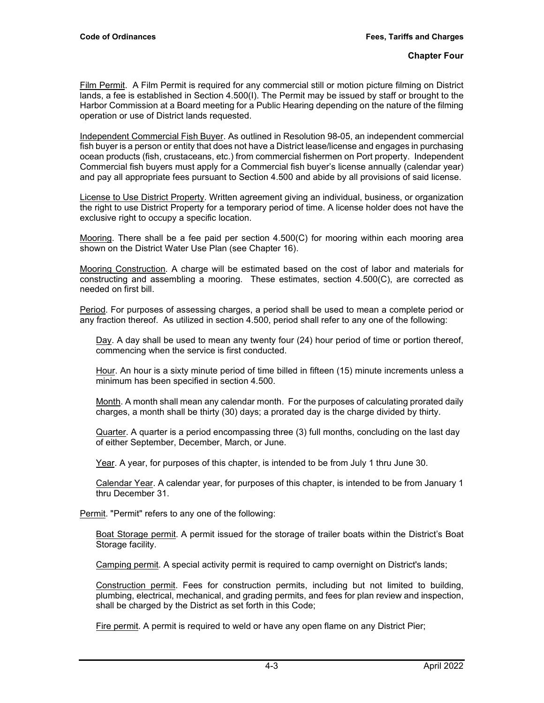Film Permit. A Film Permit is required for any commercial still or motion picture filming on District lands, a fee is established in Section 4.500(I). The Permit may be issued by staff or brought to the Harbor Commission at a Board meeting for a Public Hearing depending on the nature of the filming operation or use of District lands requested.

Independent Commercial Fish Buyer. As outlined in Resolution 98-05, an independent commercial fish buyer is a person or entity that does not have a District lease/license and engages in purchasing ocean products (fish, crustaceans, etc.) from commercial fishermen on Port property. Independent Commercial fish buyers must apply for a Commercial fish buyer's license annually (calendar year) and pay all appropriate fees pursuant to Section 4.500 and abide by all provisions of said license.

License to Use District Property. Written agreement giving an individual, business, or organization the right to use District Property for a temporary period of time. A license holder does not have the exclusive right to occupy a specific location.

Mooring. There shall be a fee paid per section 4.500(C) for mooring within each mooring area shown on the District Water Use Plan (see Chapter 16).

Mooring Construction. A charge will be estimated based on the cost of labor and materials for constructing and assembling a mooring. These estimates, section 4.500(C), are corrected as needed on first bill.

Period. For purposes of assessing charges, a period shall be used to mean a complete period or any fraction thereof. As utilized in section 4.500, period shall refer to any one of the following:

Day. A day shall be used to mean any twenty four (24) hour period of time or portion thereof, commencing when the service is first conducted.

Hour. An hour is a sixty minute period of time billed in fifteen (15) minute increments unless a minimum has been specified in section 4.500.

Month. A month shall mean any calendar month. For the purposes of calculating prorated daily charges, a month shall be thirty (30) days; a prorated day is the charge divided by thirty.

Quarter. A quarter is a period encompassing three (3) full months, concluding on the last day of either September, December, March, or June.

Year. A year, for purposes of this chapter, is intended to be from July 1 thru June 30.

Calendar Year. A calendar year, for purposes of this chapter, is intended to be from January 1 thru December 31.

Permit. "Permit" refers to any one of the following:

Boat Storage permit. A permit issued for the storage of trailer boats within the District's Boat Storage facility.

Camping permit. A special activity permit is required to camp overnight on District's lands;

Construction permit. Fees for construction permits, including but not limited to building, plumbing, electrical, mechanical, and grading permits, and fees for plan review and inspection, shall be charged by the District as set forth in this Code;

Fire permit. A permit is required to weld or have any open flame on any District Pier;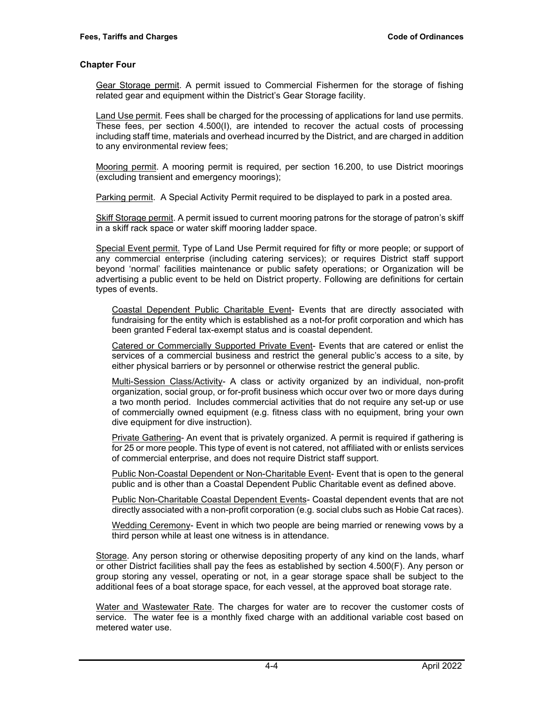Gear Storage permit. A permit issued to Commercial Fishermen for the storage of fishing related gear and equipment within the District's Gear Storage facility.

Land Use permit. Fees shall be charged for the processing of applications for land use permits. These fees, per section 4.500(I), are intended to recover the actual costs of processing including staff time, materials and overhead incurred by the District, and are charged in addition to any environmental review fees;

Mooring permit. A mooring permit is required, per section 16.200, to use District moorings (excluding transient and emergency moorings);

Parking permit. A Special Activity Permit required to be displayed to park in a posted area.

Skiff Storage permit. A permit issued to current mooring patrons for the storage of patron's skiff in a skiff rack space or water skiff mooring ladder space.

Special Event permit. Type of Land Use Permit required for fifty or more people; or support of any commercial enterprise (including catering services); or requires District staff support beyond 'normal' facilities maintenance or public safety operations; or Organization will be advertising a public event to be held on District property. Following are definitions for certain types of events.

Coastal Dependent Public Charitable Event- Events that are directly associated with fundraising for the entity which is established as a not-for profit corporation and which has been granted Federal tax-exempt status and is coastal dependent.

Catered or Commercially Supported Private Event- Events that are catered or enlist the services of a commercial business and restrict the general public's access to a site, by either physical barriers or by personnel or otherwise restrict the general public.

Multi-Session Class/Activity- A class or activity organized by an individual, non-profit organization, social group, or for-profit business which occur over two or more days during a two month period. Includes commercial activities that do not require any set-up or use of commercially owned equipment (e.g. fitness class with no equipment, bring your own dive equipment for dive instruction).

Private Gathering- An event that is privately organized. A permit is required if gathering is for 25 or more people. This type of event is not catered, not affiliated with or enlists services of commercial enterprise, and does not require District staff support.

Public Non-Coastal Dependent or Non-Charitable Event- Event that is open to the general public and is other than a Coastal Dependent Public Charitable event as defined above.

Public Non-Charitable Coastal Dependent Events- Coastal dependent events that are not directly associated with a non-profit corporation (e.g. social clubs such as Hobie Cat races).

Wedding Ceremony- Event in which two people are being married or renewing vows by a third person while at least one witness is in attendance.

Storage. Any person storing or otherwise depositing property of any kind on the lands, wharf or other District facilities shall pay the fees as established by section 4.500(F). Any person or group storing any vessel, operating or not, in a gear storage space shall be subject to the additional fees of a boat storage space, for each vessel, at the approved boat storage rate.

Water and Wastewater Rate. The charges for water are to recover the customer costs of service. The water fee is a monthly fixed charge with an additional variable cost based on metered water use.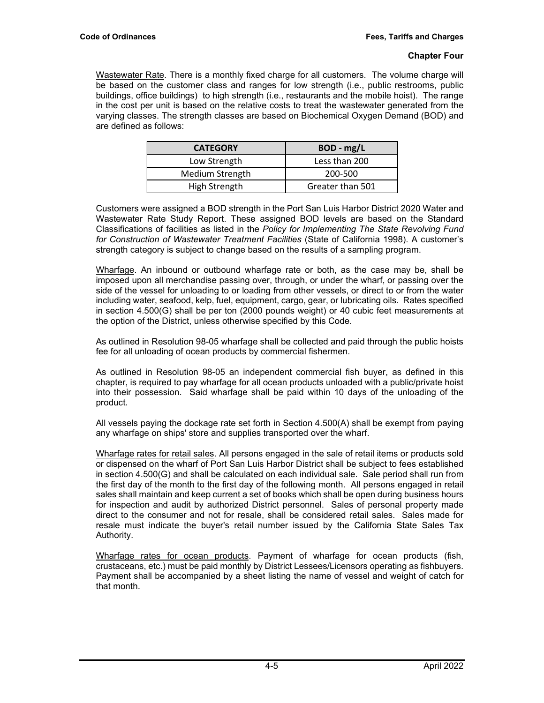Wastewater Rate. There is a monthly fixed charge for all customers. The volume charge will be based on the customer class and ranges for low strength (i.e., public restrooms, public buildings, office buildings) to high strength (i.e., restaurants and the mobile hoist). The range in the cost per unit is based on the relative costs to treat the wastewater generated from the varying classes. The strength classes are based on Biochemical Oxygen Demand (BOD) and are defined as follows:

| <b>CATEGORY</b> | BOD - mg/L       |
|-----------------|------------------|
| Low Strength    | Less than 200    |
| Medium Strength | 200-500          |
| High Strength   | Greater than 501 |

Customers were assigned a BOD strength in the Port San Luis Harbor District 2020 Water and Wastewater Rate Study Report. These assigned BOD levels are based on the Standard Classifications of facilities as listed in the *Policy for Implementing The State Revolving Fund for Construction of Wastewater Treatment Facilities* (State of California 1998). A customer's strength category is subject to change based on the results of a sampling program.

Wharfage. An inbound or outbound wharfage rate or both, as the case may be, shall be imposed upon all merchandise passing over, through, or under the wharf, or passing over the side of the vessel for unloading to or loading from other vessels, or direct to or from the water including water, seafood, kelp, fuel, equipment, cargo, gear, or lubricating oils. Rates specified in section 4.500(G) shall be per ton (2000 pounds weight) or 40 cubic feet measurements at the option of the District, unless otherwise specified by this Code.

As outlined in Resolution 98-05 wharfage shall be collected and paid through the public hoists fee for all unloading of ocean products by commercial fishermen.

As outlined in Resolution 98-05 an independent commercial fish buyer, as defined in this chapter, is required to pay wharfage for all ocean products unloaded with a public/private hoist into their possession. Said wharfage shall be paid within 10 days of the unloading of the product.

All vessels paying the dockage rate set forth in Section 4.500(A) shall be exempt from paying any wharfage on ships' store and supplies transported over the wharf.

Wharfage rates for retail sales. All persons engaged in the sale of retail items or products sold or dispensed on the wharf of Port San Luis Harbor District shall be subject to fees established in section 4.500(G) and shall be calculated on each individual sale. Sale period shall run from the first day of the month to the first day of the following month. All persons engaged in retail sales shall maintain and keep current a set of books which shall be open during business hours for inspection and audit by authorized District personnel. Sales of personal property made direct to the consumer and not for resale, shall be considered retail sales. Sales made for resale must indicate the buyer's retail number issued by the California State Sales Tax Authority.

Wharfage rates for ocean products. Payment of wharfage for ocean products (fish, crustaceans, etc.) must be paid monthly by District Lessees/Licensors operating as fishbuyers. Payment shall be accompanied by a sheet listing the name of vessel and weight of catch for that month.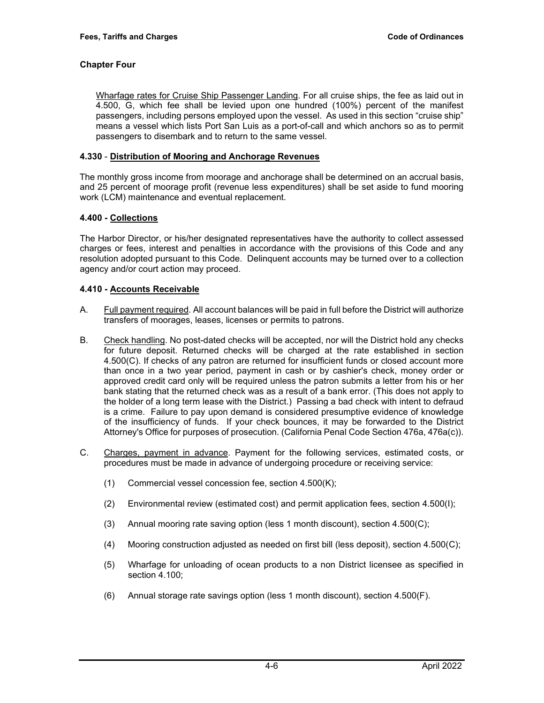Wharfage rates for Cruise Ship Passenger Landing. For all cruise ships, the fee as laid out in 4.500, G, which fee shall be levied upon one hundred (100%) percent of the manifest passengers, including persons employed upon the vessel. As used in this section "cruise ship" means a vessel which lists Port San Luis as a port-of-call and which anchors so as to permit passengers to disembark and to return to the same vessel.

### **4.330** - **Distribution of Mooring and Anchorage Revenues**

The monthly gross income from moorage and anchorage shall be determined on an accrual basis, and 25 percent of moorage profit (revenue less expenditures) shall be set aside to fund mooring work (LCM) maintenance and eventual replacement.

## **4.400 - Collections**

The Harbor Director, or his/her designated representatives have the authority to collect assessed charges or fees, interest and penalties in accordance with the provisions of this Code and any resolution adopted pursuant to this Code. Delinquent accounts may be turned over to a collection agency and/or court action may proceed.

#### **4.410 - Accounts Receivable**

- A. Full payment required. All account balances will be paid in full before the District will authorize transfers of moorages, leases, licenses or permits to patrons.
- B. Check handling. No post-dated checks will be accepted, nor will the District hold any checks for future deposit. Returned checks will be charged at the rate established in section 4.500(C). If checks of any patron are returned for insufficient funds or closed account more than once in a two year period, payment in cash or by cashier's check, money order or approved credit card only will be required unless the patron submits a letter from his or her bank stating that the returned check was as a result of a bank error. (This does not apply to the holder of a long term lease with the District.) Passing a bad check with intent to defraud is a crime. Failure to pay upon demand is considered presumptive evidence of knowledge of the insufficiency of funds. If your check bounces, it may be forwarded to the District Attorney's Office for purposes of prosecution. (California Penal Code Section 476a, 476a(c)).
- C. Charges, payment in advance. Payment for the following services, estimated costs, or procedures must be made in advance of undergoing procedure or receiving service:
	- (1) Commercial vessel concession fee, section 4.500(K);
	- (2) Environmental review (estimated cost) and permit application fees, section 4.500(I);
	- (3) Annual mooring rate saving option (less 1 month discount), section 4.500(C);
	- (4) Mooring construction adjusted as needed on first bill (less deposit), section 4.500(C);
	- (5) Wharfage for unloading of ocean products to a non District licensee as specified in section 4.100;
	- (6) Annual storage rate savings option (less 1 month discount), section 4.500(F).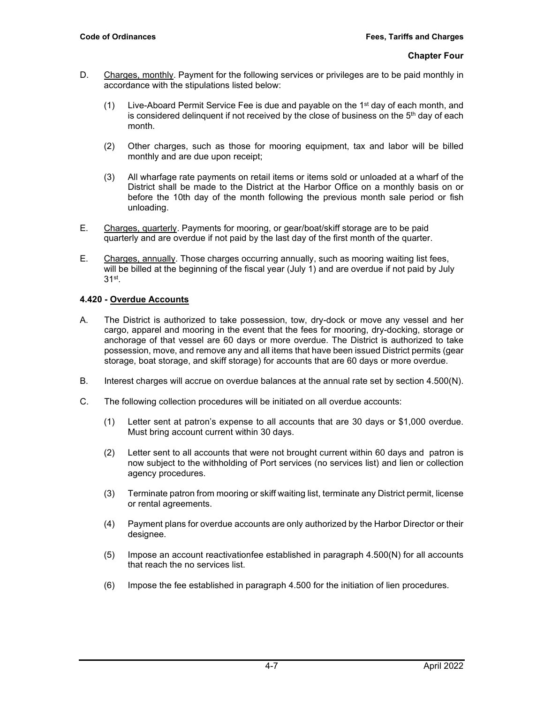- D. Charges, monthly. Payment for the following services or privileges are to be paid monthly in accordance with the stipulations listed below:
	- (1) Live-Aboard Permit Service Fee is due and payable on the  $1<sup>st</sup>$  day of each month, and is considered delinquent if not received by the close of business on the  $5<sup>th</sup>$  day of each month.
	- (2) Other charges, such as those for mooring equipment, tax and labor will be billed monthly and are due upon receipt;
	- (3) All wharfage rate payments on retail items or items sold or unloaded at a wharf of the District shall be made to the District at the Harbor Office on a monthly basis on or before the 10th day of the month following the previous month sale period or fish unloading.
- E. Charges, quarterly. Payments for mooring, or gear/boat/skiff storage are to be paid quarterly and are overdue if not paid by the last day of the first month of the quarter.
- E. Charges, annually. Those charges occurring annually, such as mooring waiting list fees, will be billed at the beginning of the fiscal year (July 1) and are overdue if not paid by July 31st.

## **4.420 - Overdue Accounts**

- A. The District is authorized to take possession, tow, dry-dock or move any vessel and her cargo, apparel and mooring in the event that the fees for mooring, dry-docking, storage or anchorage of that vessel are 60 days or more overdue. The District is authorized to take possession, move, and remove any and all items that have been issued District permits (gear storage, boat storage, and skiff storage) for accounts that are 60 days or more overdue.
- B. Interest charges will accrue on overdue balances at the annual rate set by section 4.500(N).
- C. The following collection procedures will be initiated on all overdue accounts:
	- (1) Letter sent at patron's expense to all accounts that are 30 days or \$1,000 overdue. Must bring account current within 30 days.
	- (2) Letter sent to all accounts that were not brought current within 60 days and patron is now subject to the withholding of Port services (no services list) and lien or collection agency procedures.
	- (3) Terminate patron from mooring or skiff waiting list, terminate any District permit, license or rental agreements.
	- (4) Payment plans for overdue accounts are only authorized by the Harbor Director or their designee.
	- (5) Impose an account reactivationfee established in paragraph 4.500(N) for all accounts that reach the no services list.
	- (6) Impose the fee established in paragraph 4.500 for the initiation of lien procedures.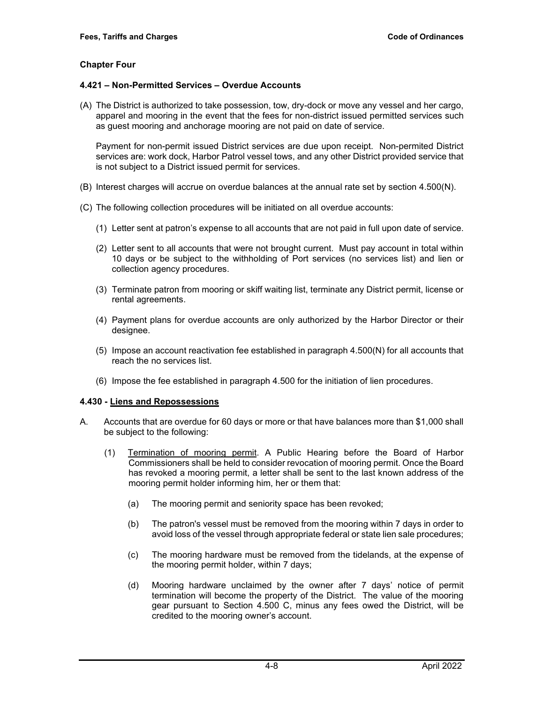#### **4.421 – Non-Permitted Services – Overdue Accounts**

(A) The District is authorized to take possession, tow, dry-dock or move any vessel and her cargo, apparel and mooring in the event that the fees for non-district issued permitted services such as guest mooring and anchorage mooring are not paid on date of service.

Payment for non-permit issued District services are due upon receipt. Non-permited District services are: work dock, Harbor Patrol vessel tows, and any other District provided service that is not subject to a District issued permit for services.

- (B) Interest charges will accrue on overdue balances at the annual rate set by section 4.500(N).
- (C) The following collection procedures will be initiated on all overdue accounts:
	- (1) Letter sent at patron's expense to all accounts that are not paid in full upon date of service.
	- (2) Letter sent to all accounts that were not brought current. Must pay account in total within 10 days or be subject to the withholding of Port services (no services list) and lien or collection agency procedures.
	- (3) Terminate patron from mooring or skiff waiting list, terminate any District permit, license or rental agreements.
	- (4) Payment plans for overdue accounts are only authorized by the Harbor Director or their designee.
	- (5) Impose an account reactivation fee established in paragraph 4.500(N) for all accounts that reach the no services list.
	- (6) Impose the fee established in paragraph 4.500 for the initiation of lien procedures.

#### **4.430 - Liens and Repossessions**

- A. Accounts that are overdue for 60 days or more or that have balances more than \$1,000 shall be subject to the following:
	- (1) Termination of mooring permit. A Public Hearing before the Board of Harbor Commissioners shall be held to consider revocation of mooring permit. Once the Board has revoked a mooring permit, a letter shall be sent to the last known address of the mooring permit holder informing him, her or them that:
		- (a) The mooring permit and seniority space has been revoked;
		- (b) The patron's vessel must be removed from the mooring within 7 days in order to avoid loss of the vessel through appropriate federal or state lien sale procedures;
		- (c) The mooring hardware must be removed from the tidelands, at the expense of the mooring permit holder, within 7 days;
		- (d) Mooring hardware unclaimed by the owner after 7 days' notice of permit termination will become the property of the District. The value of the mooring gear pursuant to Section 4.500 C, minus any fees owed the District, will be credited to the mooring owner's account.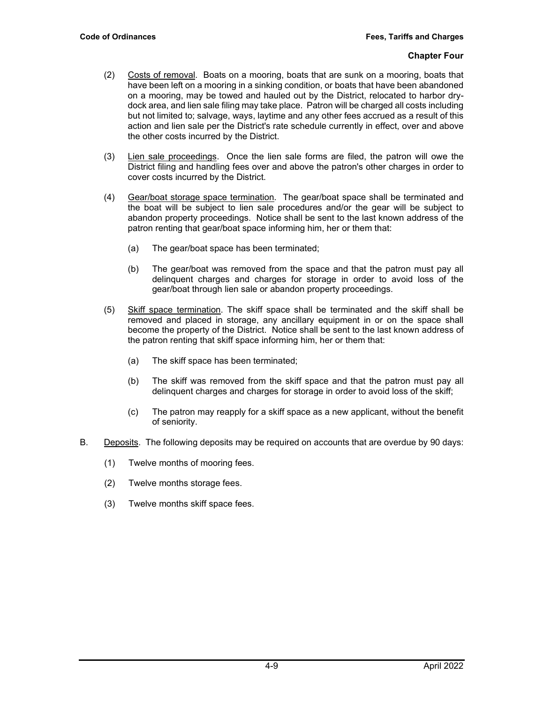- (2) Costs of removal. Boats on a mooring, boats that are sunk on a mooring, boats that have been left on a mooring in a sinking condition, or boats that have been abandoned on a mooring, may be towed and hauled out by the District, relocated to harbor drydock area, and lien sale filing may take place. Patron will be charged all costs including but not limited to; salvage, ways, laytime and any other fees accrued as a result of this action and lien sale per the District's rate schedule currently in effect, over and above the other costs incurred by the District.
- (3) Lien sale proceedings. Once the lien sale forms are filed, the patron will owe the District filing and handling fees over and above the patron's other charges in order to cover costs incurred by the District.
- (4) Gear/boat storage space termination. The gear/boat space shall be terminated and the boat will be subject to lien sale procedures and/or the gear will be subject to abandon property proceedings. Notice shall be sent to the last known address of the patron renting that gear/boat space informing him, her or them that:
	- (a) The gear/boat space has been terminated;
	- (b) The gear/boat was removed from the space and that the patron must pay all delinquent charges and charges for storage in order to avoid loss of the gear/boat through lien sale or abandon property proceedings.
- (5) Skiff space termination. The skiff space shall be terminated and the skiff shall be removed and placed in storage, any ancillary equipment in or on the space shall become the property of the District. Notice shall be sent to the last known address of the patron renting that skiff space informing him, her or them that:
	- (a) The skiff space has been terminated;
	- (b) The skiff was removed from the skiff space and that the patron must pay all delinquent charges and charges for storage in order to avoid loss of the skiff;
	- (c) The patron may reapply for a skiff space as a new applicant, without the benefit of seniority.
- B. Deposits. The following deposits may be required on accounts that are overdue by 90 days:
	- (1) Twelve months of mooring fees.
	- (2) Twelve months storage fees.
	- (3) Twelve months skiff space fees.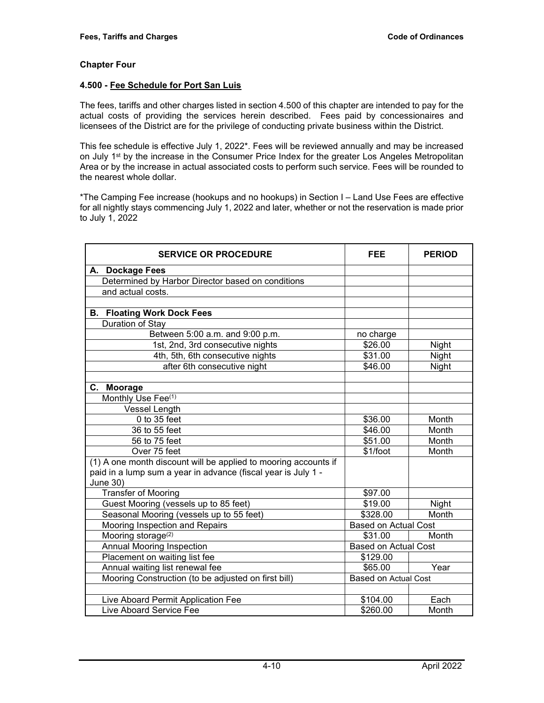#### **4.500 - Fee Schedule for Port San Luis**

The fees, tariffs and other charges listed in section 4.500 of this chapter are intended to pay for the actual costs of providing the services herein described. Fees paid by concessionaires and licensees of the District are for the privilege of conducting private business within the District.

This fee schedule is effective July 1, 2022\*. Fees will be reviewed annually and may be increased on July 1<sup>st</sup> by the increase in the Consumer Price Index for the greater Los Angeles Metropolitan Area or by the increase in actual associated costs to perform such service. Fees will be rounded to the nearest whole dollar.

\*The Camping Fee increase (hookups and no hookups) in Section I – Land Use Fees are effective for all nightly stays commencing July 1, 2022 and later, whether or not the reservation is made prior to July 1, 2022

| <b>SERVICE OR PROCEDURE</b><br><b>FEE</b>                       |                             | <b>PERIOD</b> |
|-----------------------------------------------------------------|-----------------------------|---------------|
| A. Dockage Fees                                                 |                             |               |
| Determined by Harbor Director based on conditions               |                             |               |
| and actual costs.                                               |                             |               |
|                                                                 |                             |               |
| <b>B. Floating Work Dock Fees</b>                               |                             |               |
| Duration of Stay                                                |                             |               |
| Between 5:00 a.m. and 9:00 p.m.                                 | no charge                   |               |
| 1st, 2nd, 3rd consecutive nights                                | \$26.00                     | Night         |
| 4th, 5th, 6th consecutive nights                                | \$31.00                     | Night         |
| after 6th consecutive night                                     | \$46.00                     | Night         |
|                                                                 |                             |               |
| C. Moorage                                                      |                             |               |
| Monthly Use Fee <sup>(1)</sup>                                  |                             |               |
| <b>Vessel Length</b>                                            |                             |               |
| $0$ to $35$ feet                                                | \$36.00                     | Month         |
| 36 to 55 feet                                                   | \$46.00                     | Month         |
| 56 to 75 feet                                                   | \$51.00                     | Month         |
| Over 75 feet                                                    | \$1/foot                    | Month         |
| (1) A one month discount will be applied to mooring accounts if |                             |               |
| paid in a lump sum a year in advance (fiscal year is July 1 -   |                             |               |
| June 30)                                                        |                             |               |
| <b>Transfer of Mooring</b>                                      | \$97.00                     |               |
| Guest Mooring (vessels up to 85 feet)                           | \$19.00                     | Night         |
| Seasonal Mooring (vessels up to 55 feet)                        | \$328.00<br>Month           |               |
| Mooring Inspection and Repairs                                  | <b>Based on Actual Cost</b> |               |
| Mooring storage <sup>(2)</sup>                                  | \$31.00                     | Month         |
| <b>Annual Mooring Inspection</b>                                | <b>Based on Actual Cost</b> |               |
| Placement on waiting list fee                                   | \$129.00                    |               |
| Annual waiting list renewal fee                                 | \$65.00                     | Year          |
| Mooring Construction (to be adjusted on first bill)             | <b>Based on Actual Cost</b> |               |
|                                                                 |                             |               |
| Live Aboard Permit Application Fee                              | \$104.00                    | Each          |
| Live Aboard Service Fee                                         | \$260.00                    | Month         |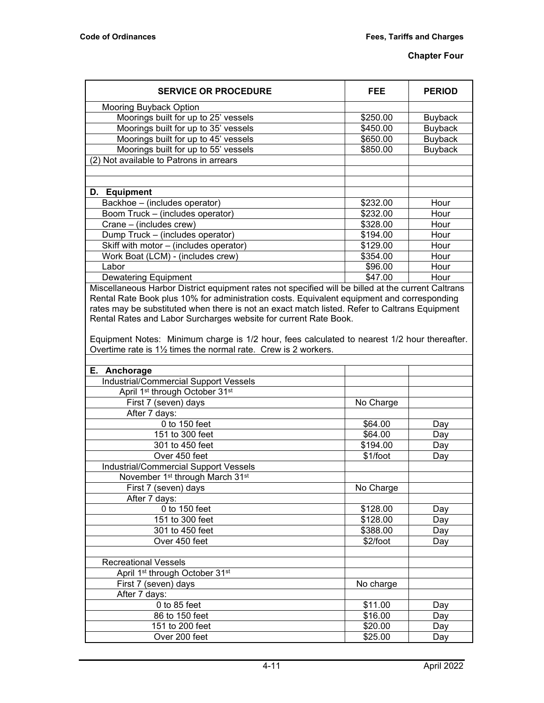| <b>SERVICE OR PROCEDURE</b>                                                                        | FEE      | <b>PERIOD</b>  |  |
|----------------------------------------------------------------------------------------------------|----------|----------------|--|
| Mooring Buyback Option                                                                             |          |                |  |
| Moorings built for up to 25' vessels                                                               | \$250.00 | <b>Buyback</b> |  |
| Moorings built for up to 35' vessels                                                               | \$450.00 | <b>Buyback</b> |  |
| Moorings built for up to 45' vessels                                                               | \$650.00 | <b>Buyback</b> |  |
| Moorings built for up to 55' vessels                                                               | \$850.00 | <b>Buyback</b> |  |
| (2) Not available to Patrons in arrears                                                            |          |                |  |
|                                                                                                    |          |                |  |
|                                                                                                    |          |                |  |
| D. Equipment                                                                                       |          |                |  |
| Backhoe – (includes operator)                                                                      | \$232.00 | Hour           |  |
| Boom Truck - (includes operator)                                                                   | \$232.00 | Hour           |  |
| Crane – (includes crew)                                                                            | \$328.00 | Hour           |  |
| Dump Truck - (includes operator)                                                                   | \$194.00 | Hour           |  |
| Skiff with motor - (includes operator)                                                             | \$129.00 | Hour           |  |
| Work Boat (LCM) - (includes crew)                                                                  | \$354.00 | Hour           |  |
| Labor                                                                                              | \$96.00  | Hour           |  |
| <b>Dewatering Equipment</b>                                                                        | \$47.00  | Hour           |  |
| Miscellaneous Harbor District equipment rates not specified will be billed at the current Caltrans |          |                |  |

Rental Rate Book plus 10% for administration costs. Equivalent equipment and corresponding rates may be substituted when there is not an exact match listed. Refer to Caltrans Equipment Rental Rates and Labor Surcharges website for current Rate Book.

Equipment Notes: Minimum charge is 1/2 hour, fees calculated to nearest 1/2 hour thereafter. Overtime rate is 1½ times the normal rate. Crew is 2 workers.

| E. Anchorage<br><b>Industrial/Commercial Support Vessels</b><br>April 1 <sup>st</sup> through October 31 <sup>st</sup><br>First 7 (seven) days<br>No Charge<br>After 7 days:<br>0 to 150 feet<br>\$64.00<br>Day<br>151 to 300 feet<br>\$64.00<br>Day |  |
|------------------------------------------------------------------------------------------------------------------------------------------------------------------------------------------------------------------------------------------------------|--|
|                                                                                                                                                                                                                                                      |  |
|                                                                                                                                                                                                                                                      |  |
|                                                                                                                                                                                                                                                      |  |
|                                                                                                                                                                                                                                                      |  |
|                                                                                                                                                                                                                                                      |  |
|                                                                                                                                                                                                                                                      |  |
|                                                                                                                                                                                                                                                      |  |
| 301 to 450 feet<br>\$194.00<br>Day                                                                                                                                                                                                                   |  |
| Over 450 feet<br>\$1/foot<br>Day                                                                                                                                                                                                                     |  |
| <b>Industrial/Commercial Support Vessels</b>                                                                                                                                                                                                         |  |
| November 1 <sup>st</sup> through March 31 <sup>st</sup>                                                                                                                                                                                              |  |
| No Charge<br>First 7 (seven) days                                                                                                                                                                                                                    |  |
| After 7 days:                                                                                                                                                                                                                                        |  |
| 0 to 150 feet<br>\$128.00<br>Day                                                                                                                                                                                                                     |  |
| 151 to 300 feet<br>\$128.00<br>Day                                                                                                                                                                                                                   |  |
| 301 to 450 feet<br>\$388.00<br>Day                                                                                                                                                                                                                   |  |
| Over 450 feet<br>\$2/foot<br>Day                                                                                                                                                                                                                     |  |
|                                                                                                                                                                                                                                                      |  |
| <b>Recreational Vessels</b>                                                                                                                                                                                                                          |  |
| April 1 <sup>st</sup> through October 31 <sup>st</sup>                                                                                                                                                                                               |  |
| First 7 (seven) days<br>No charge                                                                                                                                                                                                                    |  |
| After 7 days:                                                                                                                                                                                                                                        |  |
| $0$ to $85$ feet<br>\$11.00<br>Day                                                                                                                                                                                                                   |  |
| 86 to 150 feet<br>\$16.00<br>Day                                                                                                                                                                                                                     |  |
| 151 to 200 feet<br>\$20.00<br>Day                                                                                                                                                                                                                    |  |
| Over 200 feet<br>\$25.00<br>Day                                                                                                                                                                                                                      |  |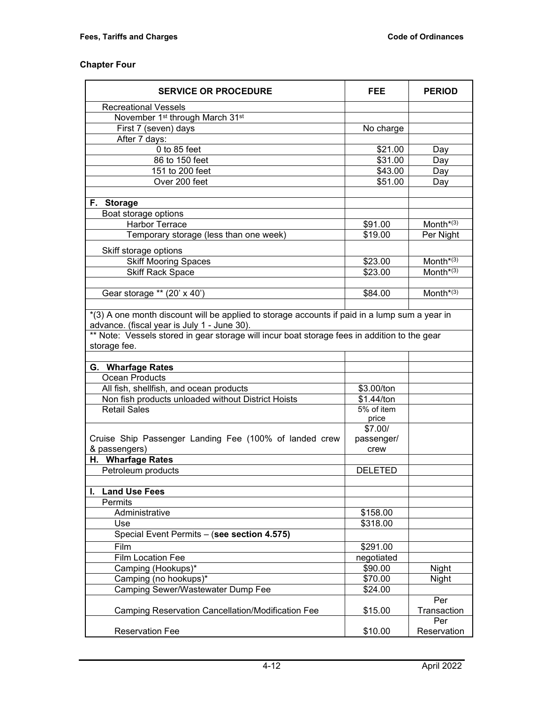| <b>SERVICE OR PROCEDURE</b>                                                                                                                  | <b>FEE</b>         | <b>PERIOD</b>      |
|----------------------------------------------------------------------------------------------------------------------------------------------|--------------------|--------------------|
| <b>Recreational Vessels</b>                                                                                                                  |                    |                    |
| November 1 <sup>st</sup> through March 31 <sup>st</sup>                                                                                      |                    |                    |
| First 7 (seven) days                                                                                                                         | No charge          |                    |
| After 7 days:                                                                                                                                |                    |                    |
| $0$ to $85$ feet                                                                                                                             | \$21.00            | Day                |
| 86 to 150 feet                                                                                                                               | \$31.00            | Day                |
| 151 to 200 feet                                                                                                                              | \$43.00            | Day                |
| Over 200 feet                                                                                                                                | \$51.00            | Day                |
|                                                                                                                                              |                    |                    |
| F. Storage                                                                                                                                   |                    |                    |
| Boat storage options                                                                                                                         |                    |                    |
| <b>Harbor Terrace</b>                                                                                                                        | \$91.00            | Month $*(3)$       |
| Temporary storage (less than one week)                                                                                                       | \$19.00            | Per Night          |
| Skiff storage options                                                                                                                        |                    |                    |
| <b>Skiff Mooring Spaces</b>                                                                                                                  | \$23.00            | Month $*(3)$       |
| <b>Skiff Rack Space</b>                                                                                                                      | \$23.00            | Month $*(3)$       |
|                                                                                                                                              |                    |                    |
| Gear storage ** (20' x 40')                                                                                                                  | \$84.00            | Month $*(3)$       |
|                                                                                                                                              |                    |                    |
| *(3) A one month discount will be applied to storage accounts if paid in a lump sum a year in<br>advance. (fiscal year is July 1 - June 30). |                    |                    |
| ** Note: Vessels stored in gear storage will incur boat storage fees in addition to the gear                                                 |                    |                    |
| storage fee.                                                                                                                                 |                    |                    |
| G. Wharfage Rates                                                                                                                            |                    |                    |
| Ocean Products                                                                                                                               |                    |                    |
| All fish, shellfish, and ocean products                                                                                                      | \$3.00/ton         |                    |
| Non fish products unloaded without District Hoists                                                                                           | \$1.44/ton         |                    |
| <b>Retail Sales</b>                                                                                                                          | 5% of item         |                    |
|                                                                                                                                              | price              |                    |
|                                                                                                                                              | \$7.00/            |                    |
| Cruise Ship Passenger Landing Fee (100% of landed crew                                                                                       | passenger/         |                    |
| & passengers)                                                                                                                                | crew               |                    |
| H. Wharfage Rates                                                                                                                            |                    |                    |
| Petroleum products                                                                                                                           | <b>DELETED</b>     |                    |
| <b>Land Use Fees</b>                                                                                                                         |                    |                    |
| Permits                                                                                                                                      |                    |                    |
| Administrative                                                                                                                               | \$158.00           |                    |
| Use                                                                                                                                          | \$318.00           |                    |
| Special Event Permits - (see section 4.575)                                                                                                  |                    |                    |
| Film                                                                                                                                         |                    |                    |
| <b>Film Location Fee</b>                                                                                                                     | \$291.00           |                    |
| Camping (Hookups)*                                                                                                                           | negotiated         |                    |
| Camping (no hookups)*                                                                                                                        | \$90.00<br>\$70.00 | Night<br>Night     |
| Camping Sewer/Wastewater Dump Fee                                                                                                            | \$24.00            |                    |
|                                                                                                                                              |                    | Per                |
| <b>Camping Reservation Cancellation/Modification Fee</b>                                                                                     | \$15.00            | Transaction        |
| <b>Reservation Fee</b>                                                                                                                       | \$10.00            | Per<br>Reservation |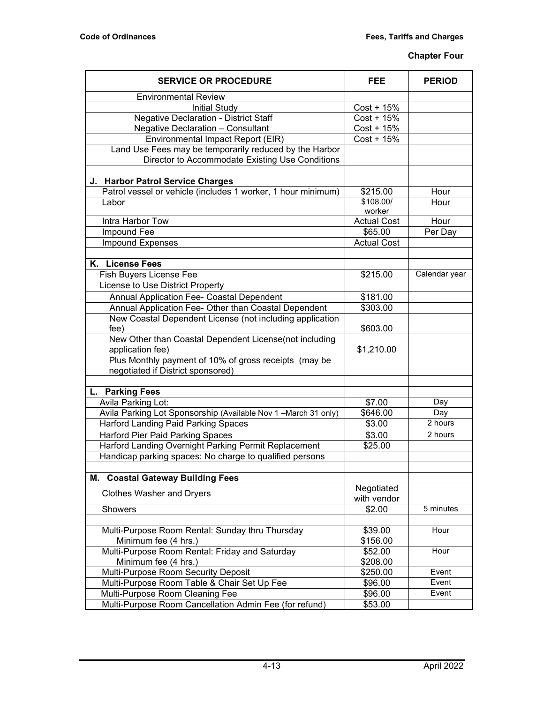| <b>Environmental Review</b><br><b>Initial Study</b><br>$Cost + 15%$<br><b>Negative Declaration - District Staff</b><br>$Cost + 15%$<br><b>Negative Declaration - Consultant</b><br>$Cost + 15%$<br>Environmental Impact Report (EIR)<br>$Cost + 15%$<br>Land Use Fees may be temporarily reduced by the Harbor<br>Director to Accommodate Existing Use Conditions<br>J. Harbor Patrol Service Charges<br>Patrol vessel or vehicle (includes 1 worker, 1 hour minimum)<br>\$215.00<br>Hour<br>\$108.00/<br>Labor<br>Hour<br>worker<br>Intra Harbor Tow<br><b>Actual Cost</b><br>Hour<br>Impound Fee<br>\$65.00<br>Per Day<br><b>Impound Expenses</b><br><b>Actual Cost</b><br>K. License Fees<br>Fish Buyers License Fee<br>\$215.00<br>Calendar year<br>License to Use District Property<br>Annual Application Fee- Coastal Dependent<br>\$181.00<br>Annual Application Fee- Other than Coastal Dependent<br>\$303.00<br>New Coastal Dependent License (not including application<br>fee)<br>\$603.00<br>New Other than Coastal Dependent License(not including<br>application fee)<br>\$1,210.00<br>Plus Monthly payment of 10% of gross receipts (may be<br>negotiated if District sponsored)<br>L. Parking Fees<br>Avila Parking Lot:<br>Day<br>\$7.00<br>Avila Parking Lot Sponsorship (Available Nov 1 - March 31 only)<br>\$646.00<br>Day<br><b>Harford Landing Paid Parking Spaces</b><br>2 hours<br>\$3.00<br><b>Harford Pier Paid Parking Spaces</b><br>\$3.00<br>2 hours<br>Harford Landing Overnight Parking Permit Replacement<br>\$25.00<br>Handicap parking spaces: No charge to qualified persons<br><b>Coastal Gateway Building Fees</b><br>М.<br>Negotiated<br><b>Clothes Washer and Dryers</b><br>with vendor<br>5 minutes<br>\$2.00<br>Showers<br>Hour<br>Multi-Purpose Room Rental: Sunday thru Thursday<br>\$39.00<br>Minimum fee (4 hrs.)<br>\$156.00<br>Multi-Purpose Room Rental: Friday and Saturday<br>Hour<br>\$52.00<br>Minimum fee (4 hrs.)<br>\$208.00<br>Multi-Purpose Room Security Deposit<br>Event<br>\$250.00<br>Event<br>Multi-Purpose Room Table & Chair Set Up Fee<br>\$96.00<br>Event<br>Multi-Purpose Room Cleaning Fee<br>\$96.00<br>Multi-Purpose Room Cancellation Admin Fee (for refund)<br>\$53.00 | <b>SERVICE OR PROCEDURE</b> | <b>FEE</b> | <b>PERIOD</b> |
|-------------------------------------------------------------------------------------------------------------------------------------------------------------------------------------------------------------------------------------------------------------------------------------------------------------------------------------------------------------------------------------------------------------------------------------------------------------------------------------------------------------------------------------------------------------------------------------------------------------------------------------------------------------------------------------------------------------------------------------------------------------------------------------------------------------------------------------------------------------------------------------------------------------------------------------------------------------------------------------------------------------------------------------------------------------------------------------------------------------------------------------------------------------------------------------------------------------------------------------------------------------------------------------------------------------------------------------------------------------------------------------------------------------------------------------------------------------------------------------------------------------------------------------------------------------------------------------------------------------------------------------------------------------------------------------------------------------------------------------------------------------------------------------------------------------------------------------------------------------------------------------------------------------------------------------------------------------------------------------------------------------------------------------------------------------------------------------------------------------------------------------------------------------------------------------------------------------------------------------------------|-----------------------------|------------|---------------|
|                                                                                                                                                                                                                                                                                                                                                                                                                                                                                                                                                                                                                                                                                                                                                                                                                                                                                                                                                                                                                                                                                                                                                                                                                                                                                                                                                                                                                                                                                                                                                                                                                                                                                                                                                                                                                                                                                                                                                                                                                                                                                                                                                                                                                                                 |                             |            |               |
|                                                                                                                                                                                                                                                                                                                                                                                                                                                                                                                                                                                                                                                                                                                                                                                                                                                                                                                                                                                                                                                                                                                                                                                                                                                                                                                                                                                                                                                                                                                                                                                                                                                                                                                                                                                                                                                                                                                                                                                                                                                                                                                                                                                                                                                 |                             |            |               |
|                                                                                                                                                                                                                                                                                                                                                                                                                                                                                                                                                                                                                                                                                                                                                                                                                                                                                                                                                                                                                                                                                                                                                                                                                                                                                                                                                                                                                                                                                                                                                                                                                                                                                                                                                                                                                                                                                                                                                                                                                                                                                                                                                                                                                                                 |                             |            |               |
|                                                                                                                                                                                                                                                                                                                                                                                                                                                                                                                                                                                                                                                                                                                                                                                                                                                                                                                                                                                                                                                                                                                                                                                                                                                                                                                                                                                                                                                                                                                                                                                                                                                                                                                                                                                                                                                                                                                                                                                                                                                                                                                                                                                                                                                 |                             |            |               |
|                                                                                                                                                                                                                                                                                                                                                                                                                                                                                                                                                                                                                                                                                                                                                                                                                                                                                                                                                                                                                                                                                                                                                                                                                                                                                                                                                                                                                                                                                                                                                                                                                                                                                                                                                                                                                                                                                                                                                                                                                                                                                                                                                                                                                                                 |                             |            |               |
|                                                                                                                                                                                                                                                                                                                                                                                                                                                                                                                                                                                                                                                                                                                                                                                                                                                                                                                                                                                                                                                                                                                                                                                                                                                                                                                                                                                                                                                                                                                                                                                                                                                                                                                                                                                                                                                                                                                                                                                                                                                                                                                                                                                                                                                 |                             |            |               |
|                                                                                                                                                                                                                                                                                                                                                                                                                                                                                                                                                                                                                                                                                                                                                                                                                                                                                                                                                                                                                                                                                                                                                                                                                                                                                                                                                                                                                                                                                                                                                                                                                                                                                                                                                                                                                                                                                                                                                                                                                                                                                                                                                                                                                                                 |                             |            |               |
|                                                                                                                                                                                                                                                                                                                                                                                                                                                                                                                                                                                                                                                                                                                                                                                                                                                                                                                                                                                                                                                                                                                                                                                                                                                                                                                                                                                                                                                                                                                                                                                                                                                                                                                                                                                                                                                                                                                                                                                                                                                                                                                                                                                                                                                 |                             |            |               |
|                                                                                                                                                                                                                                                                                                                                                                                                                                                                                                                                                                                                                                                                                                                                                                                                                                                                                                                                                                                                                                                                                                                                                                                                                                                                                                                                                                                                                                                                                                                                                                                                                                                                                                                                                                                                                                                                                                                                                                                                                                                                                                                                                                                                                                                 |                             |            |               |
|                                                                                                                                                                                                                                                                                                                                                                                                                                                                                                                                                                                                                                                                                                                                                                                                                                                                                                                                                                                                                                                                                                                                                                                                                                                                                                                                                                                                                                                                                                                                                                                                                                                                                                                                                                                                                                                                                                                                                                                                                                                                                                                                                                                                                                                 |                             |            |               |
|                                                                                                                                                                                                                                                                                                                                                                                                                                                                                                                                                                                                                                                                                                                                                                                                                                                                                                                                                                                                                                                                                                                                                                                                                                                                                                                                                                                                                                                                                                                                                                                                                                                                                                                                                                                                                                                                                                                                                                                                                                                                                                                                                                                                                                                 |                             |            |               |
|                                                                                                                                                                                                                                                                                                                                                                                                                                                                                                                                                                                                                                                                                                                                                                                                                                                                                                                                                                                                                                                                                                                                                                                                                                                                                                                                                                                                                                                                                                                                                                                                                                                                                                                                                                                                                                                                                                                                                                                                                                                                                                                                                                                                                                                 |                             |            |               |
|                                                                                                                                                                                                                                                                                                                                                                                                                                                                                                                                                                                                                                                                                                                                                                                                                                                                                                                                                                                                                                                                                                                                                                                                                                                                                                                                                                                                                                                                                                                                                                                                                                                                                                                                                                                                                                                                                                                                                                                                                                                                                                                                                                                                                                                 |                             |            |               |
|                                                                                                                                                                                                                                                                                                                                                                                                                                                                                                                                                                                                                                                                                                                                                                                                                                                                                                                                                                                                                                                                                                                                                                                                                                                                                                                                                                                                                                                                                                                                                                                                                                                                                                                                                                                                                                                                                                                                                                                                                                                                                                                                                                                                                                                 |                             |            |               |
|                                                                                                                                                                                                                                                                                                                                                                                                                                                                                                                                                                                                                                                                                                                                                                                                                                                                                                                                                                                                                                                                                                                                                                                                                                                                                                                                                                                                                                                                                                                                                                                                                                                                                                                                                                                                                                                                                                                                                                                                                                                                                                                                                                                                                                                 |                             |            |               |
|                                                                                                                                                                                                                                                                                                                                                                                                                                                                                                                                                                                                                                                                                                                                                                                                                                                                                                                                                                                                                                                                                                                                                                                                                                                                                                                                                                                                                                                                                                                                                                                                                                                                                                                                                                                                                                                                                                                                                                                                                                                                                                                                                                                                                                                 |                             |            |               |
|                                                                                                                                                                                                                                                                                                                                                                                                                                                                                                                                                                                                                                                                                                                                                                                                                                                                                                                                                                                                                                                                                                                                                                                                                                                                                                                                                                                                                                                                                                                                                                                                                                                                                                                                                                                                                                                                                                                                                                                                                                                                                                                                                                                                                                                 |                             |            |               |
|                                                                                                                                                                                                                                                                                                                                                                                                                                                                                                                                                                                                                                                                                                                                                                                                                                                                                                                                                                                                                                                                                                                                                                                                                                                                                                                                                                                                                                                                                                                                                                                                                                                                                                                                                                                                                                                                                                                                                                                                                                                                                                                                                                                                                                                 |                             |            |               |
|                                                                                                                                                                                                                                                                                                                                                                                                                                                                                                                                                                                                                                                                                                                                                                                                                                                                                                                                                                                                                                                                                                                                                                                                                                                                                                                                                                                                                                                                                                                                                                                                                                                                                                                                                                                                                                                                                                                                                                                                                                                                                                                                                                                                                                                 |                             |            |               |
|                                                                                                                                                                                                                                                                                                                                                                                                                                                                                                                                                                                                                                                                                                                                                                                                                                                                                                                                                                                                                                                                                                                                                                                                                                                                                                                                                                                                                                                                                                                                                                                                                                                                                                                                                                                                                                                                                                                                                                                                                                                                                                                                                                                                                                                 |                             |            |               |
|                                                                                                                                                                                                                                                                                                                                                                                                                                                                                                                                                                                                                                                                                                                                                                                                                                                                                                                                                                                                                                                                                                                                                                                                                                                                                                                                                                                                                                                                                                                                                                                                                                                                                                                                                                                                                                                                                                                                                                                                                                                                                                                                                                                                                                                 |                             |            |               |
|                                                                                                                                                                                                                                                                                                                                                                                                                                                                                                                                                                                                                                                                                                                                                                                                                                                                                                                                                                                                                                                                                                                                                                                                                                                                                                                                                                                                                                                                                                                                                                                                                                                                                                                                                                                                                                                                                                                                                                                                                                                                                                                                                                                                                                                 |                             |            |               |
|                                                                                                                                                                                                                                                                                                                                                                                                                                                                                                                                                                                                                                                                                                                                                                                                                                                                                                                                                                                                                                                                                                                                                                                                                                                                                                                                                                                                                                                                                                                                                                                                                                                                                                                                                                                                                                                                                                                                                                                                                                                                                                                                                                                                                                                 |                             |            |               |
|                                                                                                                                                                                                                                                                                                                                                                                                                                                                                                                                                                                                                                                                                                                                                                                                                                                                                                                                                                                                                                                                                                                                                                                                                                                                                                                                                                                                                                                                                                                                                                                                                                                                                                                                                                                                                                                                                                                                                                                                                                                                                                                                                                                                                                                 |                             |            |               |
|                                                                                                                                                                                                                                                                                                                                                                                                                                                                                                                                                                                                                                                                                                                                                                                                                                                                                                                                                                                                                                                                                                                                                                                                                                                                                                                                                                                                                                                                                                                                                                                                                                                                                                                                                                                                                                                                                                                                                                                                                                                                                                                                                                                                                                                 |                             |            |               |
|                                                                                                                                                                                                                                                                                                                                                                                                                                                                                                                                                                                                                                                                                                                                                                                                                                                                                                                                                                                                                                                                                                                                                                                                                                                                                                                                                                                                                                                                                                                                                                                                                                                                                                                                                                                                                                                                                                                                                                                                                                                                                                                                                                                                                                                 |                             |            |               |
|                                                                                                                                                                                                                                                                                                                                                                                                                                                                                                                                                                                                                                                                                                                                                                                                                                                                                                                                                                                                                                                                                                                                                                                                                                                                                                                                                                                                                                                                                                                                                                                                                                                                                                                                                                                                                                                                                                                                                                                                                                                                                                                                                                                                                                                 |                             |            |               |
|                                                                                                                                                                                                                                                                                                                                                                                                                                                                                                                                                                                                                                                                                                                                                                                                                                                                                                                                                                                                                                                                                                                                                                                                                                                                                                                                                                                                                                                                                                                                                                                                                                                                                                                                                                                                                                                                                                                                                                                                                                                                                                                                                                                                                                                 |                             |            |               |
|                                                                                                                                                                                                                                                                                                                                                                                                                                                                                                                                                                                                                                                                                                                                                                                                                                                                                                                                                                                                                                                                                                                                                                                                                                                                                                                                                                                                                                                                                                                                                                                                                                                                                                                                                                                                                                                                                                                                                                                                                                                                                                                                                                                                                                                 |                             |            |               |
|                                                                                                                                                                                                                                                                                                                                                                                                                                                                                                                                                                                                                                                                                                                                                                                                                                                                                                                                                                                                                                                                                                                                                                                                                                                                                                                                                                                                                                                                                                                                                                                                                                                                                                                                                                                                                                                                                                                                                                                                                                                                                                                                                                                                                                                 |                             |            |               |
|                                                                                                                                                                                                                                                                                                                                                                                                                                                                                                                                                                                                                                                                                                                                                                                                                                                                                                                                                                                                                                                                                                                                                                                                                                                                                                                                                                                                                                                                                                                                                                                                                                                                                                                                                                                                                                                                                                                                                                                                                                                                                                                                                                                                                                                 |                             |            |               |
|                                                                                                                                                                                                                                                                                                                                                                                                                                                                                                                                                                                                                                                                                                                                                                                                                                                                                                                                                                                                                                                                                                                                                                                                                                                                                                                                                                                                                                                                                                                                                                                                                                                                                                                                                                                                                                                                                                                                                                                                                                                                                                                                                                                                                                                 |                             |            |               |
|                                                                                                                                                                                                                                                                                                                                                                                                                                                                                                                                                                                                                                                                                                                                                                                                                                                                                                                                                                                                                                                                                                                                                                                                                                                                                                                                                                                                                                                                                                                                                                                                                                                                                                                                                                                                                                                                                                                                                                                                                                                                                                                                                                                                                                                 |                             |            |               |
|                                                                                                                                                                                                                                                                                                                                                                                                                                                                                                                                                                                                                                                                                                                                                                                                                                                                                                                                                                                                                                                                                                                                                                                                                                                                                                                                                                                                                                                                                                                                                                                                                                                                                                                                                                                                                                                                                                                                                                                                                                                                                                                                                                                                                                                 |                             |            |               |
|                                                                                                                                                                                                                                                                                                                                                                                                                                                                                                                                                                                                                                                                                                                                                                                                                                                                                                                                                                                                                                                                                                                                                                                                                                                                                                                                                                                                                                                                                                                                                                                                                                                                                                                                                                                                                                                                                                                                                                                                                                                                                                                                                                                                                                                 |                             |            |               |
|                                                                                                                                                                                                                                                                                                                                                                                                                                                                                                                                                                                                                                                                                                                                                                                                                                                                                                                                                                                                                                                                                                                                                                                                                                                                                                                                                                                                                                                                                                                                                                                                                                                                                                                                                                                                                                                                                                                                                                                                                                                                                                                                                                                                                                                 |                             |            |               |
|                                                                                                                                                                                                                                                                                                                                                                                                                                                                                                                                                                                                                                                                                                                                                                                                                                                                                                                                                                                                                                                                                                                                                                                                                                                                                                                                                                                                                                                                                                                                                                                                                                                                                                                                                                                                                                                                                                                                                                                                                                                                                                                                                                                                                                                 |                             |            |               |
|                                                                                                                                                                                                                                                                                                                                                                                                                                                                                                                                                                                                                                                                                                                                                                                                                                                                                                                                                                                                                                                                                                                                                                                                                                                                                                                                                                                                                                                                                                                                                                                                                                                                                                                                                                                                                                                                                                                                                                                                                                                                                                                                                                                                                                                 |                             |            |               |
|                                                                                                                                                                                                                                                                                                                                                                                                                                                                                                                                                                                                                                                                                                                                                                                                                                                                                                                                                                                                                                                                                                                                                                                                                                                                                                                                                                                                                                                                                                                                                                                                                                                                                                                                                                                                                                                                                                                                                                                                                                                                                                                                                                                                                                                 |                             |            |               |
|                                                                                                                                                                                                                                                                                                                                                                                                                                                                                                                                                                                                                                                                                                                                                                                                                                                                                                                                                                                                                                                                                                                                                                                                                                                                                                                                                                                                                                                                                                                                                                                                                                                                                                                                                                                                                                                                                                                                                                                                                                                                                                                                                                                                                                                 |                             |            |               |
|                                                                                                                                                                                                                                                                                                                                                                                                                                                                                                                                                                                                                                                                                                                                                                                                                                                                                                                                                                                                                                                                                                                                                                                                                                                                                                                                                                                                                                                                                                                                                                                                                                                                                                                                                                                                                                                                                                                                                                                                                                                                                                                                                                                                                                                 |                             |            |               |
|                                                                                                                                                                                                                                                                                                                                                                                                                                                                                                                                                                                                                                                                                                                                                                                                                                                                                                                                                                                                                                                                                                                                                                                                                                                                                                                                                                                                                                                                                                                                                                                                                                                                                                                                                                                                                                                                                                                                                                                                                                                                                                                                                                                                                                                 |                             |            |               |
|                                                                                                                                                                                                                                                                                                                                                                                                                                                                                                                                                                                                                                                                                                                                                                                                                                                                                                                                                                                                                                                                                                                                                                                                                                                                                                                                                                                                                                                                                                                                                                                                                                                                                                                                                                                                                                                                                                                                                                                                                                                                                                                                                                                                                                                 |                             |            |               |
|                                                                                                                                                                                                                                                                                                                                                                                                                                                                                                                                                                                                                                                                                                                                                                                                                                                                                                                                                                                                                                                                                                                                                                                                                                                                                                                                                                                                                                                                                                                                                                                                                                                                                                                                                                                                                                                                                                                                                                                                                                                                                                                                                                                                                                                 |                             |            |               |
|                                                                                                                                                                                                                                                                                                                                                                                                                                                                                                                                                                                                                                                                                                                                                                                                                                                                                                                                                                                                                                                                                                                                                                                                                                                                                                                                                                                                                                                                                                                                                                                                                                                                                                                                                                                                                                                                                                                                                                                                                                                                                                                                                                                                                                                 |                             |            |               |
|                                                                                                                                                                                                                                                                                                                                                                                                                                                                                                                                                                                                                                                                                                                                                                                                                                                                                                                                                                                                                                                                                                                                                                                                                                                                                                                                                                                                                                                                                                                                                                                                                                                                                                                                                                                                                                                                                                                                                                                                                                                                                                                                                                                                                                                 |                             |            |               |
|                                                                                                                                                                                                                                                                                                                                                                                                                                                                                                                                                                                                                                                                                                                                                                                                                                                                                                                                                                                                                                                                                                                                                                                                                                                                                                                                                                                                                                                                                                                                                                                                                                                                                                                                                                                                                                                                                                                                                                                                                                                                                                                                                                                                                                                 |                             |            |               |
|                                                                                                                                                                                                                                                                                                                                                                                                                                                                                                                                                                                                                                                                                                                                                                                                                                                                                                                                                                                                                                                                                                                                                                                                                                                                                                                                                                                                                                                                                                                                                                                                                                                                                                                                                                                                                                                                                                                                                                                                                                                                                                                                                                                                                                                 |                             |            |               |
|                                                                                                                                                                                                                                                                                                                                                                                                                                                                                                                                                                                                                                                                                                                                                                                                                                                                                                                                                                                                                                                                                                                                                                                                                                                                                                                                                                                                                                                                                                                                                                                                                                                                                                                                                                                                                                                                                                                                                                                                                                                                                                                                                                                                                                                 |                             |            |               |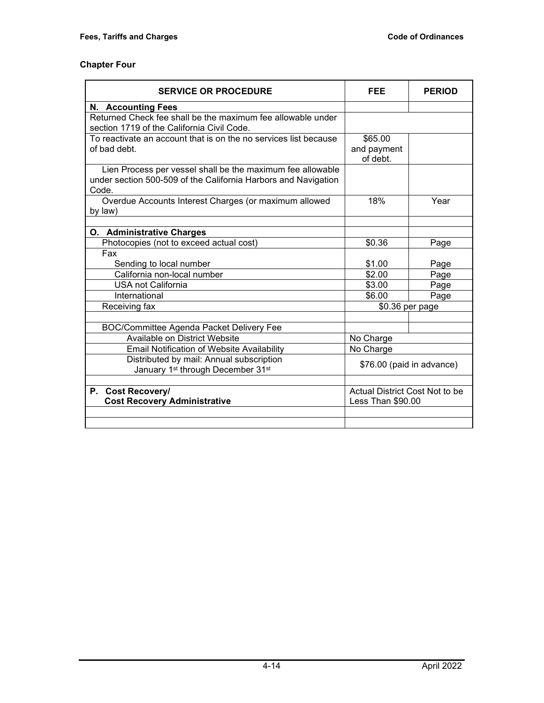| <b>SERVICE OR PROCEDURE</b>                                                                                                           | FEE                                | <b>PERIOD</b>             |  |
|---------------------------------------------------------------------------------------------------------------------------------------|------------------------------------|---------------------------|--|
| <b>N. Accounting Fees</b>                                                                                                             |                                    |                           |  |
| Returned Check fee shall be the maximum fee allowable under<br>section 1719 of the California Civil Code.                             |                                    |                           |  |
| To reactivate an account that is on the no services list because<br>of bad debt.                                                      | \$65.00<br>and payment<br>of debt. |                           |  |
| Lien Process per vessel shall be the maximum fee allowable<br>under section 500-509 of the California Harbors and Navigation<br>Code. |                                    |                           |  |
| Overdue Accounts Interest Charges (or maximum allowed<br>by law)                                                                      | 18%                                | Year                      |  |
|                                                                                                                                       |                                    |                           |  |
| O. Administrative Charges<br>Photocopies (not to exceed actual cost)                                                                  | \$0.36                             | Page                      |  |
| Fax                                                                                                                                   |                                    |                           |  |
| Sending to local number                                                                                                               | \$1.00                             | Page                      |  |
| California non-local number                                                                                                           | \$2.00                             | Page                      |  |
| <b>USA not California</b>                                                                                                             | \$3.00                             | Page                      |  |
| International                                                                                                                         | \$6.00<br>Page                     |                           |  |
| Receiving fax                                                                                                                         | \$0.36 per page                    |                           |  |
|                                                                                                                                       |                                    |                           |  |
| <b>BOC/Committee Agenda Packet Delivery Fee</b>                                                                                       |                                    |                           |  |
| Available on District Website                                                                                                         | No Charge                          |                           |  |
| <b>Email Notification of Website Availability</b>                                                                                     | No Charge                          |                           |  |
| Distributed by mail: Annual subscription<br>January 1st through December 31st                                                         |                                    | \$76.00 (paid in advance) |  |
|                                                                                                                                       |                                    |                           |  |
| P. Cost Recovery/                                                                                                                     | Actual District Cost Not to be     |                           |  |
| <b>Cost Recovery Administrative</b>                                                                                                   | Less Than \$90.00                  |                           |  |
|                                                                                                                                       |                                    |                           |  |
|                                                                                                                                       |                                    |                           |  |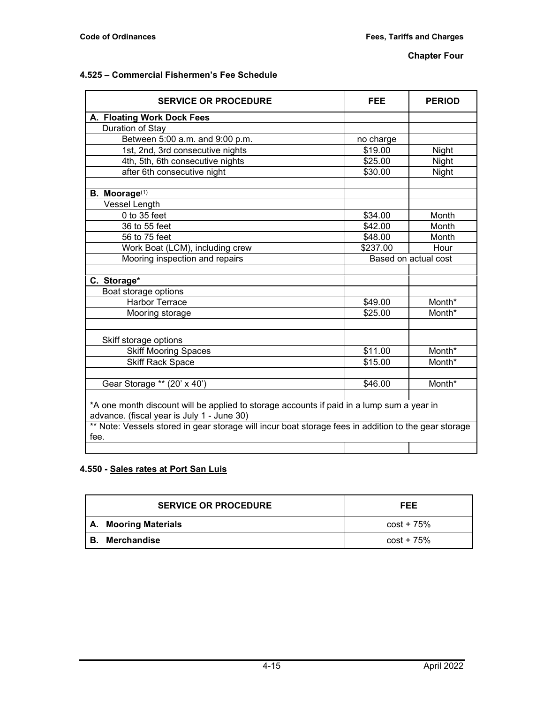## **4.525 – Commercial Fishermen's Fee Schedule**

| <b>SERVICE OR PROCEDURE</b>                                                                                                             | FEE                  | <b>PERIOD</b> |
|-----------------------------------------------------------------------------------------------------------------------------------------|----------------------|---------------|
| A. Floating Work Dock Fees                                                                                                              |                      |               |
| Duration of Stay                                                                                                                        |                      |               |
| Between 5:00 a.m. and 9:00 p.m.                                                                                                         | no charge            |               |
| 1st, 2nd, 3rd consecutive nights                                                                                                        | \$19.00              | Night         |
| 4th, 5th, 6th consecutive nights                                                                                                        | \$25.00              | Night         |
| after 6th consecutive night                                                                                                             | \$30.00              | Night         |
|                                                                                                                                         |                      |               |
| B. Moorage <sup>(1)</sup>                                                                                                               |                      |               |
| <b>Vessel Length</b>                                                                                                                    |                      |               |
| $0$ to 35 feet                                                                                                                          | \$34.00              | Month         |
| 36 to 55 feet                                                                                                                           | \$42.00              | Month         |
| 56 to 75 feet                                                                                                                           | \$48.00              | Month         |
| Work Boat (LCM), including crew                                                                                                         | \$237.00             | Hour          |
| Mooring inspection and repairs                                                                                                          | Based on actual cost |               |
|                                                                                                                                         |                      |               |
| C. Storage*                                                                                                                             |                      |               |
| Boat storage options                                                                                                                    |                      |               |
| <b>Harbor Terrace</b>                                                                                                                   | \$49.00              | Month*        |
| Mooring storage                                                                                                                         | \$25.00              | Month*        |
|                                                                                                                                         |                      |               |
| Skiff storage options                                                                                                                   |                      |               |
| <b>Skiff Mooring Spaces</b>                                                                                                             | \$11.00              | Month*        |
| <b>Skiff Rack Space</b>                                                                                                                 | \$15.00              | Month*        |
|                                                                                                                                         |                      |               |
| Gear Storage ** (20' x 40')                                                                                                             | \$46.00              | Month*        |
|                                                                                                                                         |                      |               |
| *A one month discount will be applied to storage accounts if paid in a lump sum a year in<br>advance. (fiscal year is July 1 - June 30) |                      |               |
| ** Note: Vessels stored in gear storage will incur boat storage fees in addition to the gear storage                                    |                      |               |
| fee.                                                                                                                                    |                      |               |
|                                                                                                                                         |                      |               |

# **4.550 - Sales rates at Port San Luis**

|      | <b>SERVICE OR PROCEDURE</b> | FEE          |
|------|-----------------------------|--------------|
|      | A. Mooring Materials        | cost + 75%   |
| ' В. | Merchandise                 | $cost + 75%$ |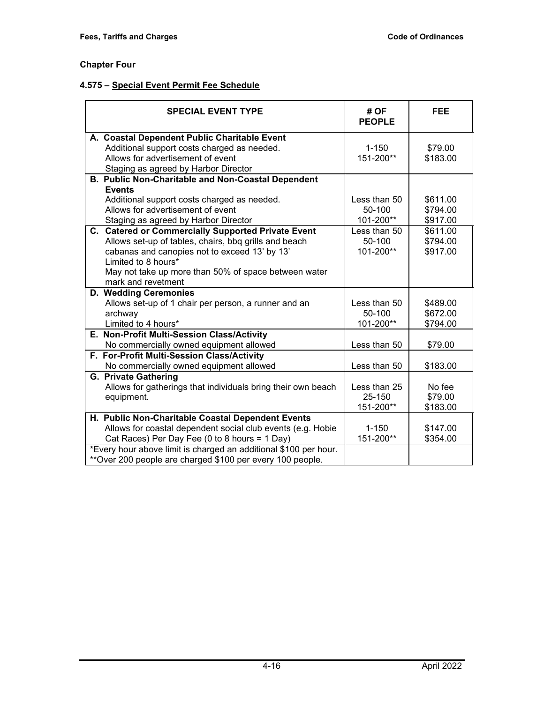# **4.575 – Special Event Permit Fee Schedule**

| <b>SPECIAL EVENT TYPE</b>                                        | # OF<br><b>PEOPLE</b> | <b>FEE</b> |
|------------------------------------------------------------------|-----------------------|------------|
| A. Coastal Dependent Public Charitable Event                     |                       |            |
| Additional support costs charged as needed.                      | $1 - 150$             | \$79.00    |
| Allows for advertisement of event                                | 151-200**             | \$183.00   |
| Staging as agreed by Harbor Director                             |                       |            |
| B. Public Non-Charitable and Non-Coastal Dependent               |                       |            |
| <b>Events</b>                                                    |                       |            |
| Additional support costs charged as needed.                      | Less than 50          | \$611.00   |
| Allows for advertisement of event                                | 50-100                | \$794.00   |
| Staging as agreed by Harbor Director                             | 101-200**             | \$917.00   |
| C. Catered or Commercially Supported Private Event               | Less than 50          | \$611.00   |
| Allows set-up of tables, chairs, bbq grills and beach            | 50-100                | \$794.00   |
| cabanas and canopies not to exceed 13' by 13'                    | 101-200**             | \$917.00   |
| Limited to 8 hours*                                              |                       |            |
| May not take up more than 50% of space between water             |                       |            |
| mark and revetment                                               |                       |            |
| D. Wedding Ceremonies                                            |                       |            |
| Allows set-up of 1 chair per person, a runner and an             | Less than 50          | \$489.00   |
| archway                                                          | 50-100                | \$672.00   |
| Limited to 4 hours*                                              | 101-200**             | \$794.00   |
| E. Non-Profit Multi-Session Class/Activity                       |                       |            |
| No commercially owned equipment allowed                          | Less than 50          | \$79.00    |
| F. For-Profit Multi-Session Class/Activity                       |                       |            |
| No commercially owned equipment allowed                          | Less than 50          | \$183.00   |
| <b>G. Private Gathering</b>                                      |                       |            |
| Allows for gatherings that individuals bring their own beach     | Less than 25          | No fee     |
| equipment.                                                       | 25-150                | \$79.00    |
|                                                                  | 151-200**             | \$183.00   |
| H. Public Non-Charitable Coastal Dependent Events                |                       |            |
| Allows for coastal dependent social club events (e.g. Hobie      | $1 - 150$             | \$147.00   |
| Cat Races) Per Day Fee (0 to 8 hours = 1 Day)                    | 151-200**             | \$354.00   |
| *Every hour above limit is charged an additional \$100 per hour. |                       |            |
| **Over 200 people are charged \$100 per every 100 people.        |                       |            |